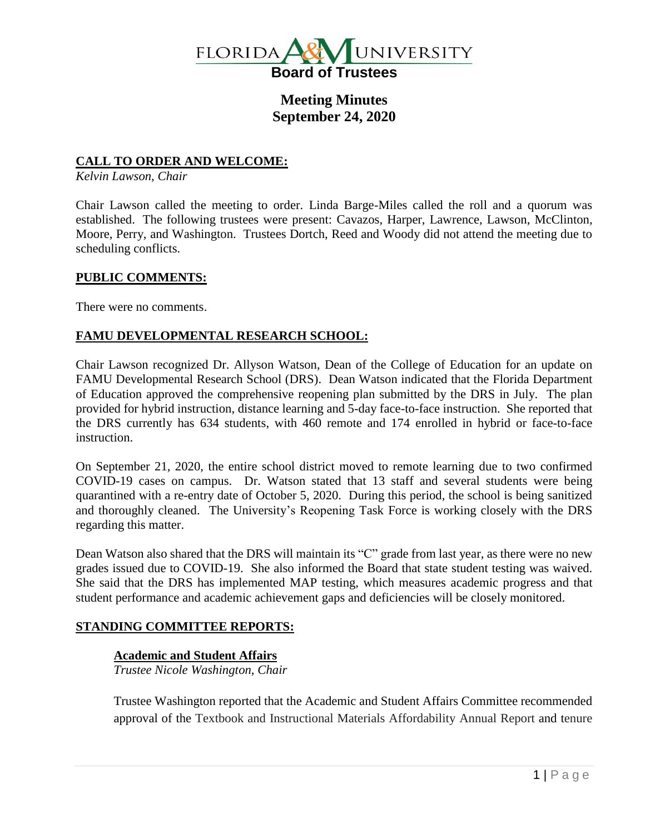

# **Meeting Minutes September 24, 2020**

## **CALL TO ORDER AND WELCOME:**

*Kelvin Lawson, Chair*

Chair Lawson called the meeting to order. Linda Barge-Miles called the roll and a quorum was established. The following trustees were present: Cavazos, Harper, Lawrence, Lawson, McClinton, Moore, Perry, and Washington. Trustees Dortch, Reed and Woody did not attend the meeting due to scheduling conflicts.

### **PUBLIC COMMENTS:**

There were no comments.

## **FAMU DEVELOPMENTAL RESEARCH SCHOOL:**

Chair Lawson recognized Dr. Allyson Watson, Dean of the College of Education for an update on FAMU Developmental Research School (DRS). Dean Watson indicated that the Florida Department of Education approved the comprehensive reopening plan submitted by the DRS in July. The plan provided for hybrid instruction, distance learning and 5-day face-to-face instruction. She reported that the DRS currently has 634 students, with 460 remote and 174 enrolled in hybrid or face-to-face instruction.

On September 21, 2020, the entire school district moved to remote learning due to two confirmed COVID-19 cases on campus. Dr. Watson stated that 13 staff and several students were being quarantined with a re-entry date of October 5, 2020. During this period, the school is being sanitized and thoroughly cleaned. The University's Reopening Task Force is working closely with the DRS regarding this matter.

Dean Watson also shared that the DRS will maintain its "C" grade from last year, as there were no new grades issued due to COVID-19. She also informed the Board that state student testing was waived. She said that the DRS has implemented MAP testing, which measures academic progress and that student performance and academic achievement gaps and deficiencies will be closely monitored.

### **STANDING COMMITTEE REPORTS:**

### **Academic and Student Affairs**

*Trustee Nicole Washington, Chair*

Trustee Washington reported that the Academic and Student Affairs Committee recommended approval of the Textbook and Instructional Materials Affordability Annual Report and tenure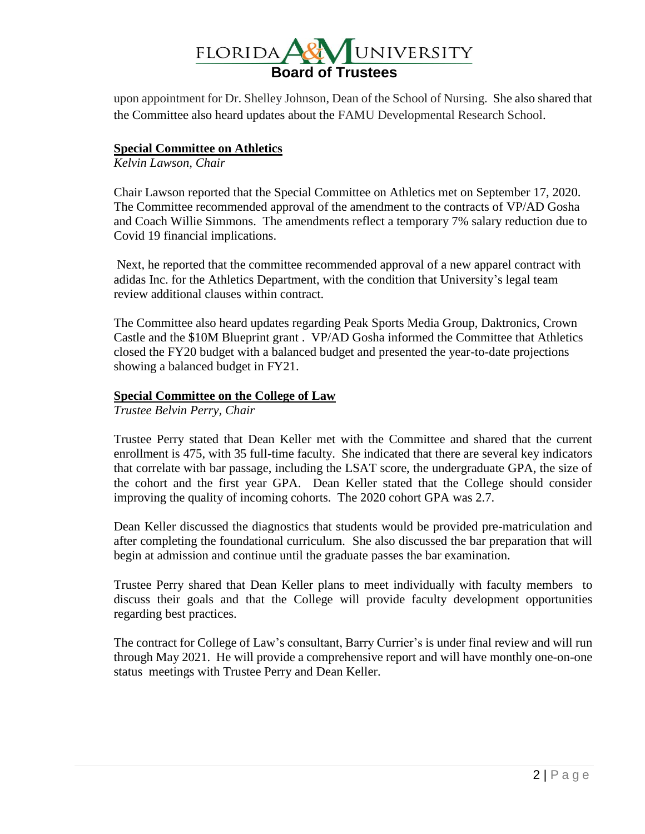

upon appointment for Dr. Shelley Johnson, Dean of the School of Nursing. She also shared that the Committee also heard updates about the FAMU Developmental Research School.

### **Special Committee on Athletics**

*Kelvin Lawson, Chair*

Chair Lawson reported that the Special Committee on Athletics met on September 17, 2020. The Committee recommended approval of the amendment to the contracts of VP/AD Gosha and Coach Willie Simmons. The amendments reflect a temporary 7% salary reduction due to Covid 19 financial implications.

Next, he reported that the committee recommended approval of a new apparel contract with adidas Inc. for the Athletics Department, with the condition that University's legal team review additional clauses within contract.

The Committee also heard updates regarding Peak Sports Media Group, Daktronics, Crown Castle and the \$10M Blueprint grant . VP/AD Gosha informed the Committee that Athletics closed the FY20 budget with a balanced budget and presented the year-to-date projections showing a balanced budget in FY21.

### **Special Committee on the College of Law**

*Trustee Belvin Perry, Chair*

Trustee Perry stated that Dean Keller met with the Committee and shared that the current enrollment is 475, with 35 full-time faculty. She indicated that there are several key indicators that correlate with bar passage, including the LSAT score, the undergraduate GPA, the size of the cohort and the first year GPA. Dean Keller stated that the College should consider improving the quality of incoming cohorts. The 2020 cohort GPA was 2.7.

Dean Keller discussed the diagnostics that students would be provided pre-matriculation and after completing the foundational curriculum. She also discussed the bar preparation that will begin at admission and continue until the graduate passes the bar examination.

Trustee Perry shared that Dean Keller plans to meet individually with faculty members to discuss their goals and that the College will provide faculty development opportunities regarding best practices.

The contract for College of Law's consultant, Barry Currier's is under final review and will run through May 2021. He will provide a comprehensive report and will have monthly one-on-one status meetings with Trustee Perry and Dean Keller.